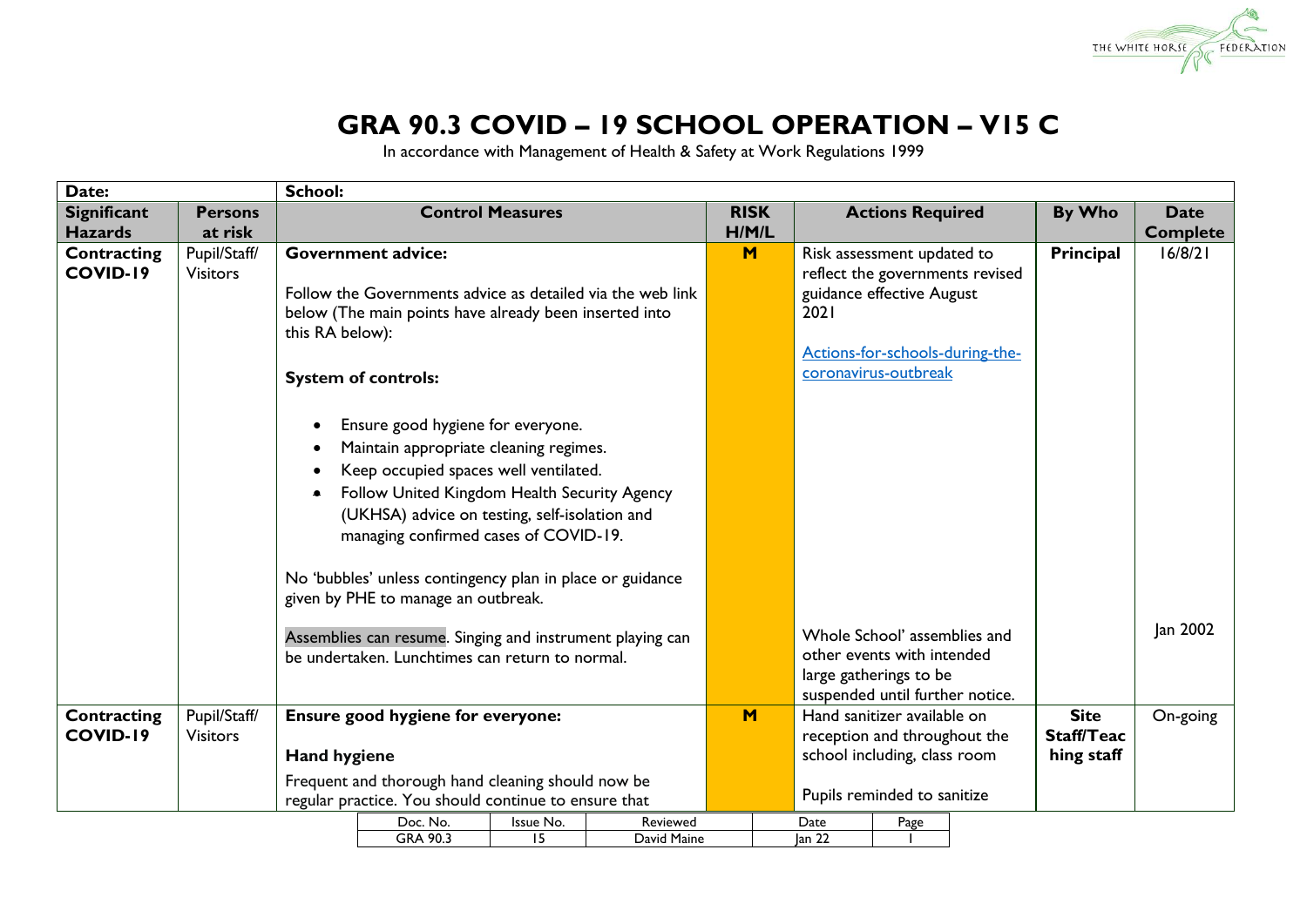

## **GRA 90.3 COVID – 19 SCHOOL OPERATION – V15 C**

In accordance with Management of Health & Safety at Work Regulations 1999

| Date:              |                 | <b>School:</b>  |                                                            |                         |             |             |  |                   |                                 |                                 |                   |                 |
|--------------------|-----------------|-----------------|------------------------------------------------------------|-------------------------|-------------|-------------|--|-------------------|---------------------------------|---------------------------------|-------------------|-----------------|
| <b>Significant</b> | <b>Persons</b>  |                 |                                                            | <b>Control Measures</b> |             | <b>RISK</b> |  |                   | <b>Actions Required</b>         |                                 | By Who            | <b>Date</b>     |
| <b>Hazards</b>     | at risk         |                 |                                                            |                         |             | H/M/L       |  |                   |                                 |                                 |                   | <b>Complete</b> |
| Contracting        | Pupil/Staff/    |                 | <b>Government advice:</b>                                  |                         |             | M           |  |                   | Risk assessment updated to      |                                 | Principal         | 16/8/21         |
| COVID-19           | <b>Visitors</b> |                 |                                                            |                         |             |             |  |                   |                                 | reflect the governments revised |                   |                 |
|                    |                 |                 | Follow the Governments advice as detailed via the web link |                         |             |             |  |                   | guidance effective August       |                                 |                   |                 |
|                    |                 |                 | below (The main points have already been inserted into     |                         |             |             |  | 2021              |                                 |                                 |                   |                 |
|                    |                 | this RA below): |                                                            |                         |             |             |  |                   |                                 |                                 |                   |                 |
|                    |                 |                 |                                                            |                         |             |             |  |                   |                                 | Actions-for-schools-during-the- |                   |                 |
|                    |                 |                 | <b>System of controls:</b>                                 |                         |             |             |  |                   | coronavirus-outbreak            |                                 |                   |                 |
|                    |                 |                 |                                                            |                         |             |             |  |                   |                                 |                                 |                   |                 |
|                    |                 |                 | Ensure good hygiene for everyone.                          |                         |             |             |  |                   |                                 |                                 |                   |                 |
|                    |                 |                 |                                                            |                         |             |             |  |                   |                                 |                                 |                   |                 |
|                    |                 |                 | Maintain appropriate cleaning regimes.                     |                         |             |             |  |                   |                                 |                                 |                   |                 |
|                    |                 |                 | Keep occupied spaces well ventilated.                      |                         |             |             |  |                   |                                 |                                 |                   |                 |
|                    |                 | ٠               | Follow United Kingdom Health Security Agency               |                         |             |             |  |                   |                                 |                                 |                   |                 |
|                    |                 |                 | (UKHSA) advice on testing, self-isolation and              |                         |             |             |  |                   |                                 |                                 |                   |                 |
|                    |                 |                 | managing confirmed cases of COVID-19.                      |                         |             |             |  |                   |                                 |                                 |                   |                 |
|                    |                 |                 |                                                            |                         |             |             |  |                   |                                 |                                 |                   |                 |
|                    |                 |                 | No 'bubbles' unless contingency plan in place or guidance  |                         |             |             |  |                   |                                 |                                 |                   |                 |
|                    |                 |                 | given by PHE to manage an outbreak.                        |                         |             |             |  |                   |                                 |                                 |                   |                 |
|                    |                 |                 |                                                            |                         |             |             |  |                   |                                 |                                 |                   |                 |
|                    |                 |                 | Assemblies can resume. Singing and instrument playing can  |                         |             |             |  |                   | Whole School' assemblies and    |                                 |                   | Jan 2002        |
|                    |                 |                 | be undertaken. Lunchtimes can return to normal.            |                         |             |             |  |                   | other events with intended      |                                 |                   |                 |
|                    |                 |                 |                                                            |                         |             |             |  |                   | large gatherings to be          |                                 |                   |                 |
|                    |                 |                 |                                                            |                         |             |             |  |                   | suspended until further notice. |                                 |                   |                 |
| Contracting        | Pupil/Staff/    |                 | Ensure good hygiene for everyone:                          |                         |             | M           |  |                   | Hand sanitizer available on     |                                 | <b>Site</b>       | On-going        |
| COVID-19           | <b>Visitors</b> |                 |                                                            |                         |             |             |  |                   | reception and throughout the    |                                 | <b>Staff/Teac</b> |                 |
|                    |                 |                 | <b>Hand hygiene</b>                                        |                         |             |             |  |                   | school including, class room    |                                 | hing staff        |                 |
|                    |                 |                 | Frequent and thorough hand cleaning should now be          |                         |             |             |  |                   |                                 |                                 |                   |                 |
|                    |                 |                 | regular practice. You should continue to ensure that       |                         |             |             |  |                   | Pupils reminded to sanitize     |                                 |                   |                 |
|                    |                 |                 | Doc. No.                                                   | Issue No.               | Reviewed    |             |  | Date              | Page                            |                                 |                   |                 |
|                    |                 |                 | GRA 90.3                                                   | 15                      | David Maine |             |  | lan <sub>22</sub> |                                 |                                 |                   |                 |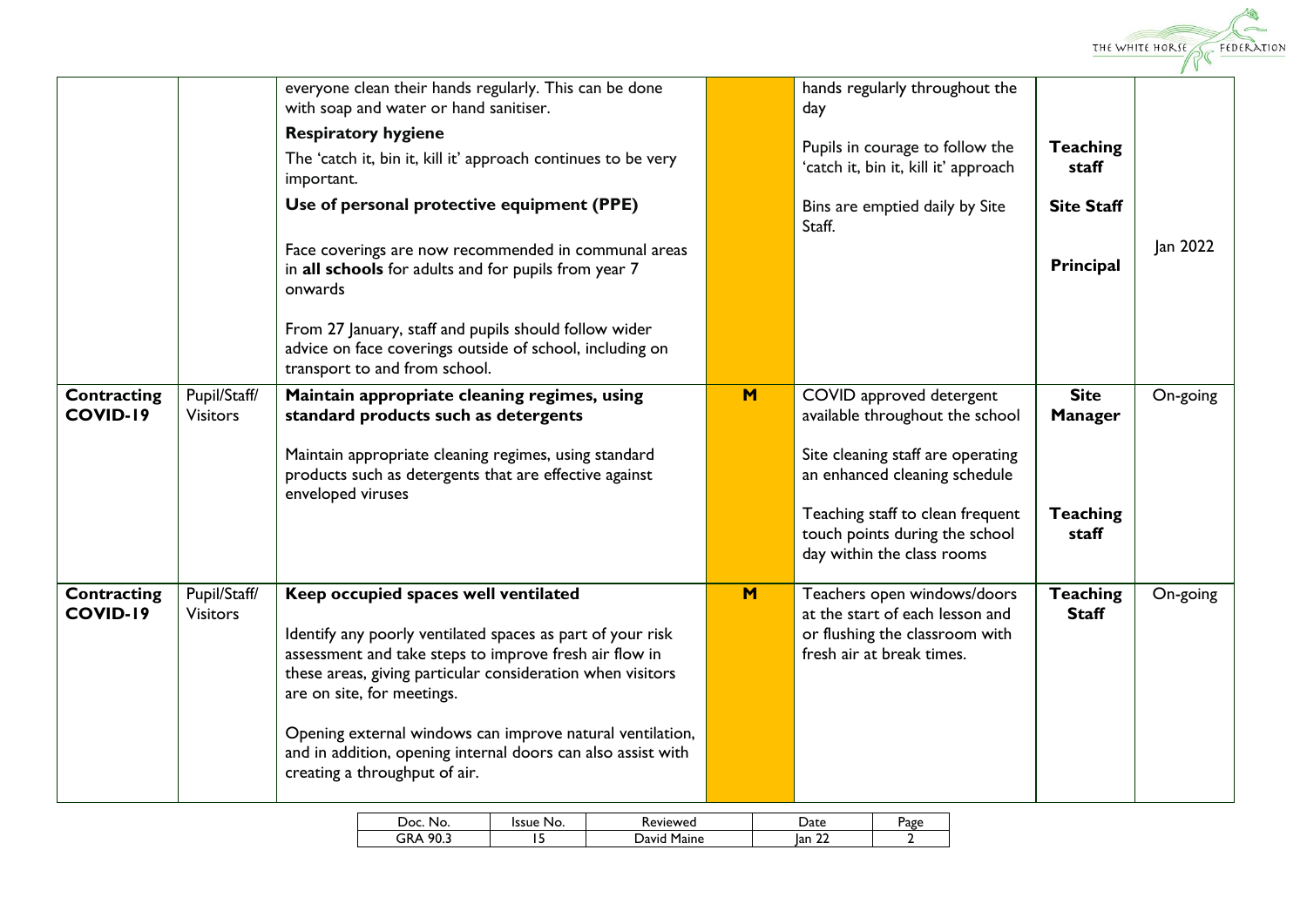

|                         |                                 | everyone clean their hands regularly. This can be done<br>with soap and water or hand sanitiser.                                                                                                                                                                                                                                                                                                                       |     | hands regularly throughout the<br>day                                                                                         |                                 |          |
|-------------------------|---------------------------------|------------------------------------------------------------------------------------------------------------------------------------------------------------------------------------------------------------------------------------------------------------------------------------------------------------------------------------------------------------------------------------------------------------------------|-----|-------------------------------------------------------------------------------------------------------------------------------|---------------------------------|----------|
|                         |                                 | <b>Respiratory hygiene</b>                                                                                                                                                                                                                                                                                                                                                                                             |     |                                                                                                                               |                                 |          |
|                         |                                 | The 'catch it, bin it, kill it' approach continues to be very<br>important.                                                                                                                                                                                                                                                                                                                                            |     | Pupils in courage to follow the<br>'catch it, bin it, kill it' approach                                                       | <b>Teaching</b><br>staff        |          |
|                         |                                 | Use of personal protective equipment (PPE)                                                                                                                                                                                                                                                                                                                                                                             |     | Bins are emptied daily by Site<br>Staff.                                                                                      | <b>Site Staff</b>               |          |
|                         |                                 | Face coverings are now recommended in communal areas<br>in all schools for adults and for pupils from year 7<br>onwards                                                                                                                                                                                                                                                                                                |     |                                                                                                                               | Principal                       | Jan 2022 |
|                         |                                 | From 27 January, staff and pupils should follow wider<br>advice on face coverings outside of school, including on<br>transport to and from school.                                                                                                                                                                                                                                                                     |     |                                                                                                                               |                                 |          |
| Contracting<br>COVID-19 | Pupil/Staff/<br><b>Visitors</b> | Maintain appropriate cleaning regimes, using<br>standard products such as detergents                                                                                                                                                                                                                                                                                                                                   | M   | COVID approved detergent<br>available throughout the school                                                                   | <b>Site</b><br><b>Manager</b>   | On-going |
|                         |                                 | Maintain appropriate cleaning regimes, using standard<br>products such as detergents that are effective against<br>enveloped viruses                                                                                                                                                                                                                                                                                   |     | Site cleaning staff are operating<br>an enhanced cleaning schedule                                                            |                                 |          |
|                         |                                 |                                                                                                                                                                                                                                                                                                                                                                                                                        |     | Teaching staff to clean frequent<br>touch points during the school<br>day within the class rooms                              | <b>Teaching</b><br>staff        |          |
| Contracting<br>COVID-19 | Pupil/Staff/<br><b>Visitors</b> | Keep occupied spaces well ventilated<br>Identify any poorly ventilated spaces as part of your risk<br>assessment and take steps to improve fresh air flow in<br>these areas, giving particular consideration when visitors<br>are on site, for meetings.<br>Opening external windows can improve natural ventilation,<br>and in addition, opening internal doors can also assist with<br>creating a throughput of air. | $M$ | Teachers open windows/doors<br>at the start of each lesson and<br>or flushing the classroom with<br>fresh air at break times. | <b>Teaching</b><br><b>Staff</b> | On-going |

| Doc.<br>No.             | Issue<br>INO. | <i>s</i> eviewed | Jate                       | Page |
|-------------------------|---------------|------------------|----------------------------|------|
| nn a<br>GR<br><br>-<br> |               | Maine<br>Javio   | $\sim$<br>Ian<br><u>__</u> |      |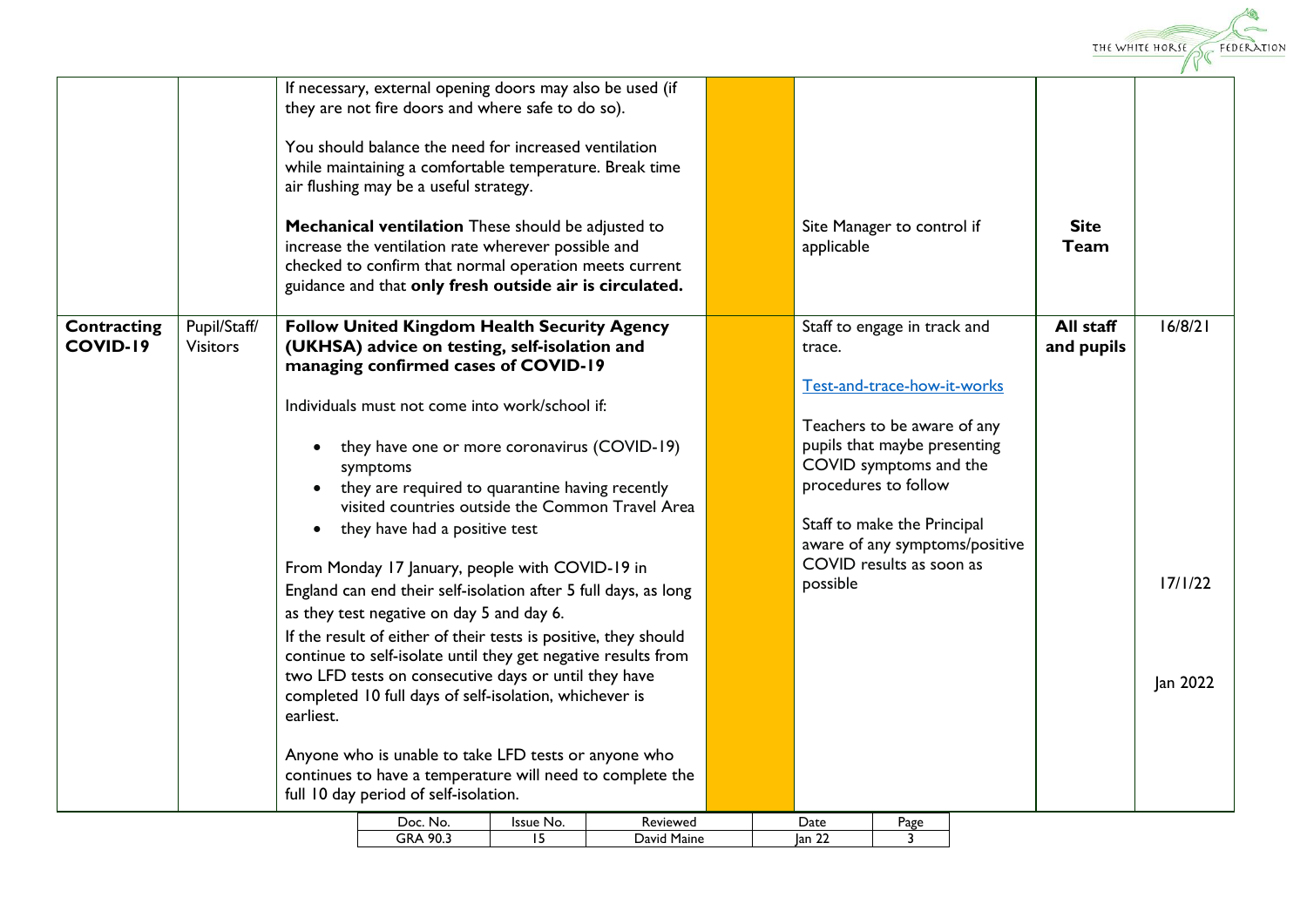

| Pupil/Staff/<br>All staff<br>16/8/21<br><b>Follow United Kingdom Health Security Agency</b><br><b>Contracting</b><br>Staff to engage in track and<br><b>COVID-19</b><br><b>Visitors</b><br>(UKHSA) advice on testing, self-isolation and<br>and pupils<br>trace.<br>managing confirmed cases of COVID-19<br>Test-and-trace-how-it-works<br>Individuals must not come into work/school if:<br>Teachers to be aware of any<br>pupils that maybe presenting<br>they have one or more coronavirus (COVID-19)<br>$\bullet$<br>COVID symptoms and the<br>symptoms<br>procedures to follow<br>they are required to quarantine having recently<br>visited countries outside the Common Travel Area<br>Staff to make the Principal<br>they have had a positive test<br>aware of any symptoms/positive<br>COVID results as soon as<br>From Monday 17 January, people with COVID-19 in<br>17/1/22<br>possible<br>England can end their self-isolation after 5 full days, as long<br>as they test negative on day 5 and day 6.<br>If the result of either of their tests is positive, they should<br>continue to self-isolate until they get negative results from<br>two LFD tests on consecutive days or until they have<br>Jan 2022<br>completed 10 full days of self-isolation, whichever is<br>earliest.<br>Anyone who is unable to take LFD tests or anyone who<br>continues to have a temperature will need to complete the<br>full 10 day period of self-isolation. |  | If necessary, external opening doors may also be used (if<br>they are not fire doors and where safe to do so).<br>You should balance the need for increased ventilation<br>while maintaining a comfortable temperature. Break time<br>air flushing may be a useful strategy.<br>Mechanical ventilation These should be adjusted to<br>increase the ventilation rate wherever possible and<br>checked to confirm that normal operation meets current<br>guidance and that only fresh outside air is circulated. | Site Manager to control if<br>applicable | <b>Site</b><br><b>Team</b> |  |
|-----------------------------------------------------------------------------------------------------------------------------------------------------------------------------------------------------------------------------------------------------------------------------------------------------------------------------------------------------------------------------------------------------------------------------------------------------------------------------------------------------------------------------------------------------------------------------------------------------------------------------------------------------------------------------------------------------------------------------------------------------------------------------------------------------------------------------------------------------------------------------------------------------------------------------------------------------------------------------------------------------------------------------------------------------------------------------------------------------------------------------------------------------------------------------------------------------------------------------------------------------------------------------------------------------------------------------------------------------------------------------------------------------------------------------------------------------------------|--|----------------------------------------------------------------------------------------------------------------------------------------------------------------------------------------------------------------------------------------------------------------------------------------------------------------------------------------------------------------------------------------------------------------------------------------------------------------------------------------------------------------|------------------------------------------|----------------------------|--|
|                                                                                                                                                                                                                                                                                                                                                                                                                                                                                                                                                                                                                                                                                                                                                                                                                                                                                                                                                                                                                                                                                                                                                                                                                                                                                                                                                                                                                                                                 |  |                                                                                                                                                                                                                                                                                                                                                                                                                                                                                                                |                                          |                            |  |

| ה (<br>N∩        | 'ssue<br>No. | eviewed        | ہ+ 1      | ρασ |
|------------------|--------------|----------------|-----------|-----|
| 90<br>GRA<br>ν., |              | Maine<br>Javır | lar<br>-- |     |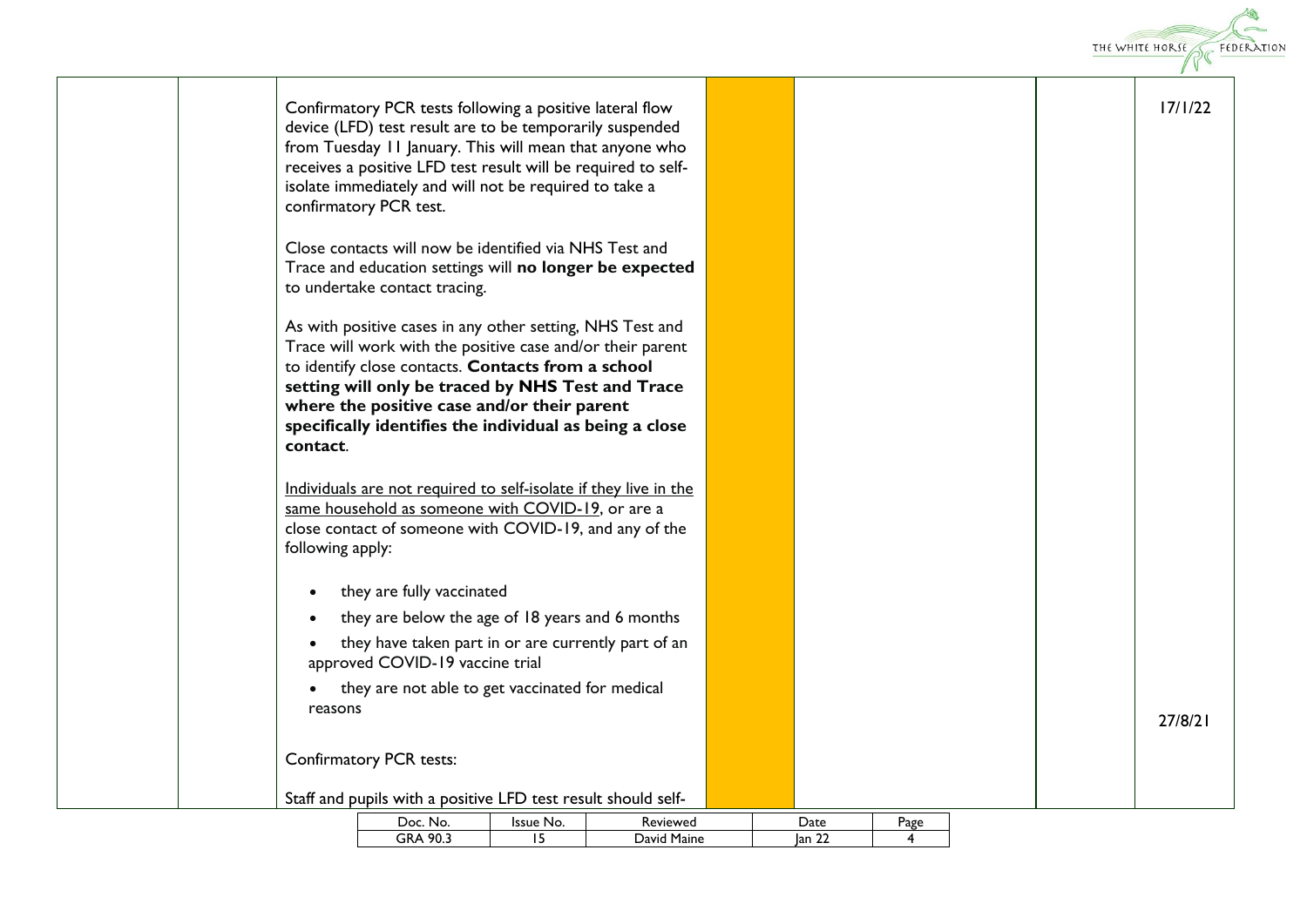|                        |                                                                                                                                                                                                                                                                                                                                              |                 |                         |                |      |  | THE WHITE HORSE<br>FEDERATION |
|------------------------|----------------------------------------------------------------------------------------------------------------------------------------------------------------------------------------------------------------------------------------------------------------------------------------------------------------------------------------------|-----------------|-------------------------|----------------|------|--|-------------------------------|
|                        | Confirmatory PCR tests following a positive lateral flow<br>device (LFD) test result are to be temporarily suspended<br>from Tuesday 11 January. This will mean that anyone who<br>receives a positive LFD test result will be required to self-<br>isolate immediately and will not be required to take a<br>confirmatory PCR test.         |                 |                         |                |      |  | 17/1/22                       |
|                        | Close contacts will now be identified via NHS Test and<br>Trace and education settings will no longer be expected<br>to undertake contact tracing.                                                                                                                                                                                           |                 |                         |                |      |  |                               |
| contact.               | As with positive cases in any other setting, NHS Test and<br>Trace will work with the positive case and/or their parent<br>to identify close contacts. Contacts from a school<br>setting will only be traced by NHS Test and Trace<br>where the positive case and/or their parent<br>specifically identifies the individual as being a close |                 |                         |                |      |  |                               |
| following apply:       | Individuals are not required to self-isolate if they live in the<br>same household as someone with COVID-19, or are a<br>close contact of someone with COVID-19, and any of the                                                                                                                                                              |                 |                         |                |      |  |                               |
| $\bullet$              | they are fully vaccinated                                                                                                                                                                                                                                                                                                                    |                 |                         |                |      |  |                               |
| $\bullet$<br>$\bullet$ | they are below the age of 18 years and 6 months<br>they have taken part in or are currently part of an<br>approved COVID-19 vaccine trial                                                                                                                                                                                                    |                 |                         |                |      |  |                               |
| $\bullet$<br>reasons   | they are not able to get vaccinated for medical                                                                                                                                                                                                                                                                                              |                 |                         |                |      |  | 27/8/21                       |
|                        | Confirmatory PCR tests:                                                                                                                                                                                                                                                                                                                      |                 |                         |                |      |  |                               |
|                        | Staff and pupils with a positive LFD test result should self-                                                                                                                                                                                                                                                                                |                 |                         |                |      |  |                               |
|                        | Doc. No.<br>GRA 90.3                                                                                                                                                                                                                                                                                                                         | Issue No.<br>15 | Reviewed<br>David Maine | Date<br> an 22 | Page |  |                               |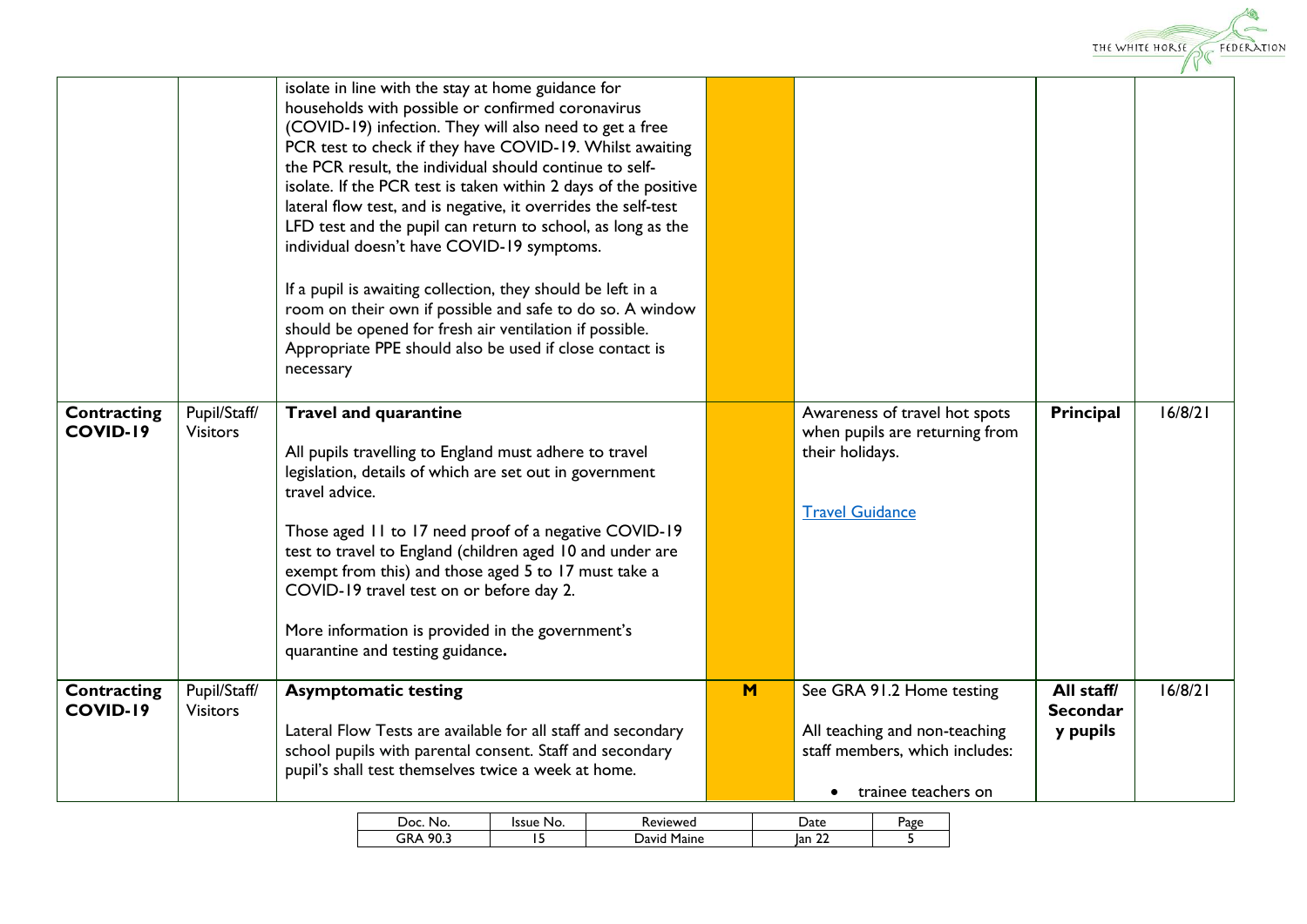

|                                |                                 | isolate in line with the stay at home guidance for<br>households with possible or confirmed coronavirus<br>(COVID-19) infection. They will also need to get a free<br>PCR test to check if they have COVID-19. Whilst awaiting<br>the PCR result, the individual should continue to self-<br>isolate. If the PCR test is taken within 2 days of the positive<br>lateral flow test, and is negative, it overrides the self-test<br>LFD test and the pupil can return to school, as long as the<br>individual doesn't have COVID-19 symptoms.<br>If a pupil is awaiting collection, they should be left in a<br>room on their own if possible and safe to do so. A window<br>should be opened for fresh air ventilation if possible.<br>Appropriate PPE should also be used if close contact is<br>necessary |   |                                                                                    |                               |         |
|--------------------------------|---------------------------------|------------------------------------------------------------------------------------------------------------------------------------------------------------------------------------------------------------------------------------------------------------------------------------------------------------------------------------------------------------------------------------------------------------------------------------------------------------------------------------------------------------------------------------------------------------------------------------------------------------------------------------------------------------------------------------------------------------------------------------------------------------------------------------------------------------|---|------------------------------------------------------------------------------------|-------------------------------|---------|
| Contracting<br><b>COVID-19</b> | Pupil/Staff/<br><b>Visitors</b> | <b>Travel and quarantine</b><br>All pupils travelling to England must adhere to travel                                                                                                                                                                                                                                                                                                                                                                                                                                                                                                                                                                                                                                                                                                                     |   | Awareness of travel hot spots<br>when pupils are returning from<br>their holidays. | Principal                     | 16/8/21 |
|                                |                                 | legislation, details of which are set out in government<br>travel advice.                                                                                                                                                                                                                                                                                                                                                                                                                                                                                                                                                                                                                                                                                                                                  |   | <b>Travel Guidance</b>                                                             |                               |         |
|                                |                                 | Those aged 11 to 17 need proof of a negative COVID-19<br>test to travel to England (children aged 10 and under are                                                                                                                                                                                                                                                                                                                                                                                                                                                                                                                                                                                                                                                                                         |   |                                                                                    |                               |         |
|                                |                                 | exempt from this) and those aged 5 to 17 must take a<br>COVID-19 travel test on or before day 2.                                                                                                                                                                                                                                                                                                                                                                                                                                                                                                                                                                                                                                                                                                           |   |                                                                                    |                               |         |
|                                |                                 |                                                                                                                                                                                                                                                                                                                                                                                                                                                                                                                                                                                                                                                                                                                                                                                                            |   |                                                                                    |                               |         |
|                                |                                 | More information is provided in the government's<br>quarantine and testing guidance.                                                                                                                                                                                                                                                                                                                                                                                                                                                                                                                                                                                                                                                                                                                       |   |                                                                                    |                               |         |
| Contracting<br><b>COVID-19</b> | Pupil/Staff/<br><b>Visitors</b> | <b>Asymptomatic testing</b>                                                                                                                                                                                                                                                                                                                                                                                                                                                                                                                                                                                                                                                                                                                                                                                | M | See GRA 91.2 Home testing                                                          | All staff/<br><b>Secondar</b> | 16/8/21 |
|                                |                                 | Lateral Flow Tests are available for all staff and secondary<br>school pupils with parental consent. Staff and secondary<br>pupil's shall test themselves twice a week at home.                                                                                                                                                                                                                                                                                                                                                                                                                                                                                                                                                                                                                            |   | All teaching and non-teaching<br>staff members, which includes:                    | y pupils                      |         |
|                                |                                 |                                                                                                                                                                                                                                                                                                                                                                                                                                                                                                                                                                                                                                                                                                                                                                                                            |   | trainee teachers on                                                                |                               |         |

| Doc<br>No.  | Issue No. | 'eviewed       | ate       | Page |
|-------------|-----------|----------------|-----------|------|
| 90.3<br>GRA | ـ         | Maine<br>David | lan<br>∸∸ |      |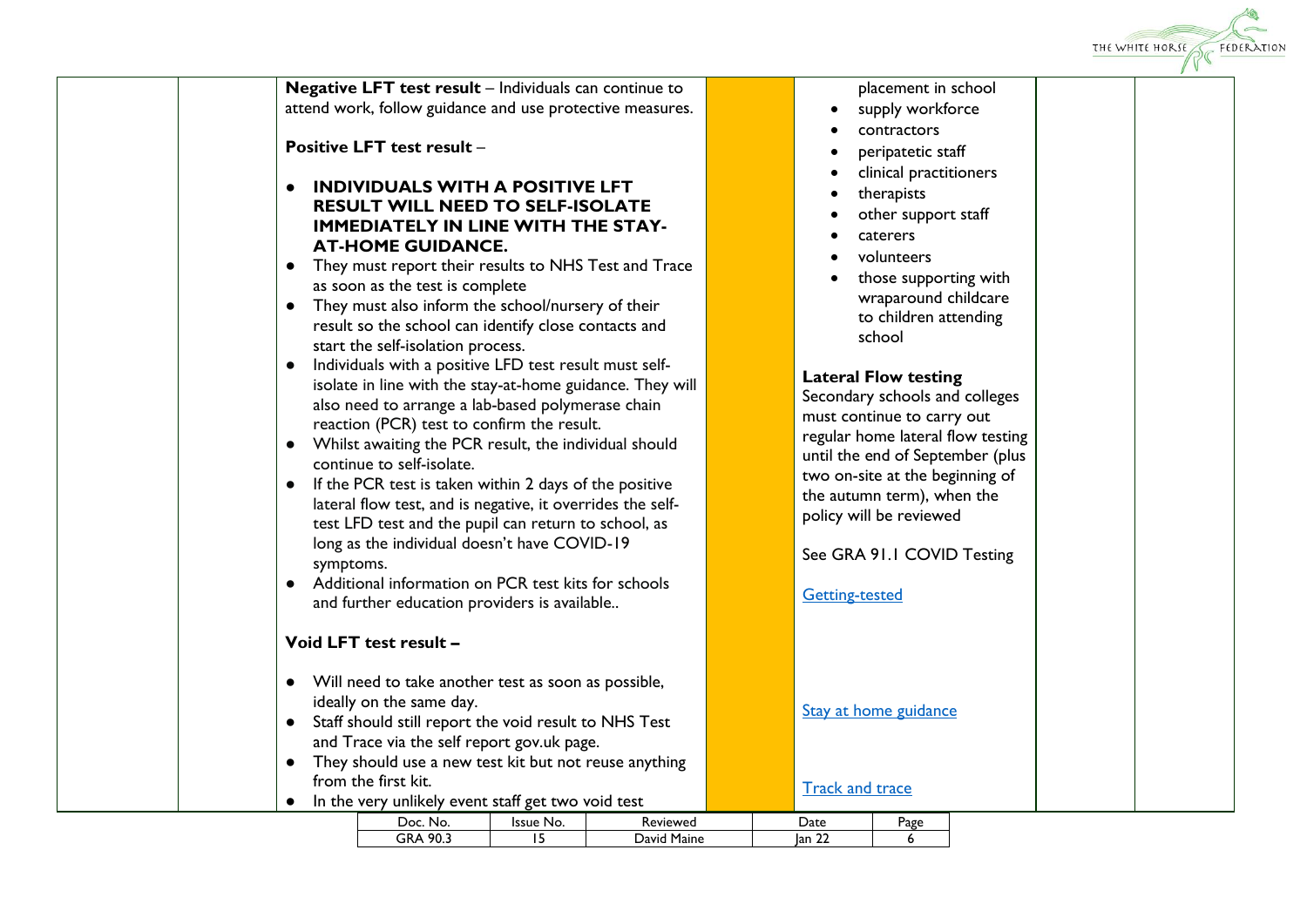

| Doc<br>No.  | Issue No. | Keviewed       | Date      | Page |
|-------------|-----------|----------------|-----------|------|
| 90.3<br>ĴRΑ |           | Maine<br>David | Ian<br>∸∸ |      |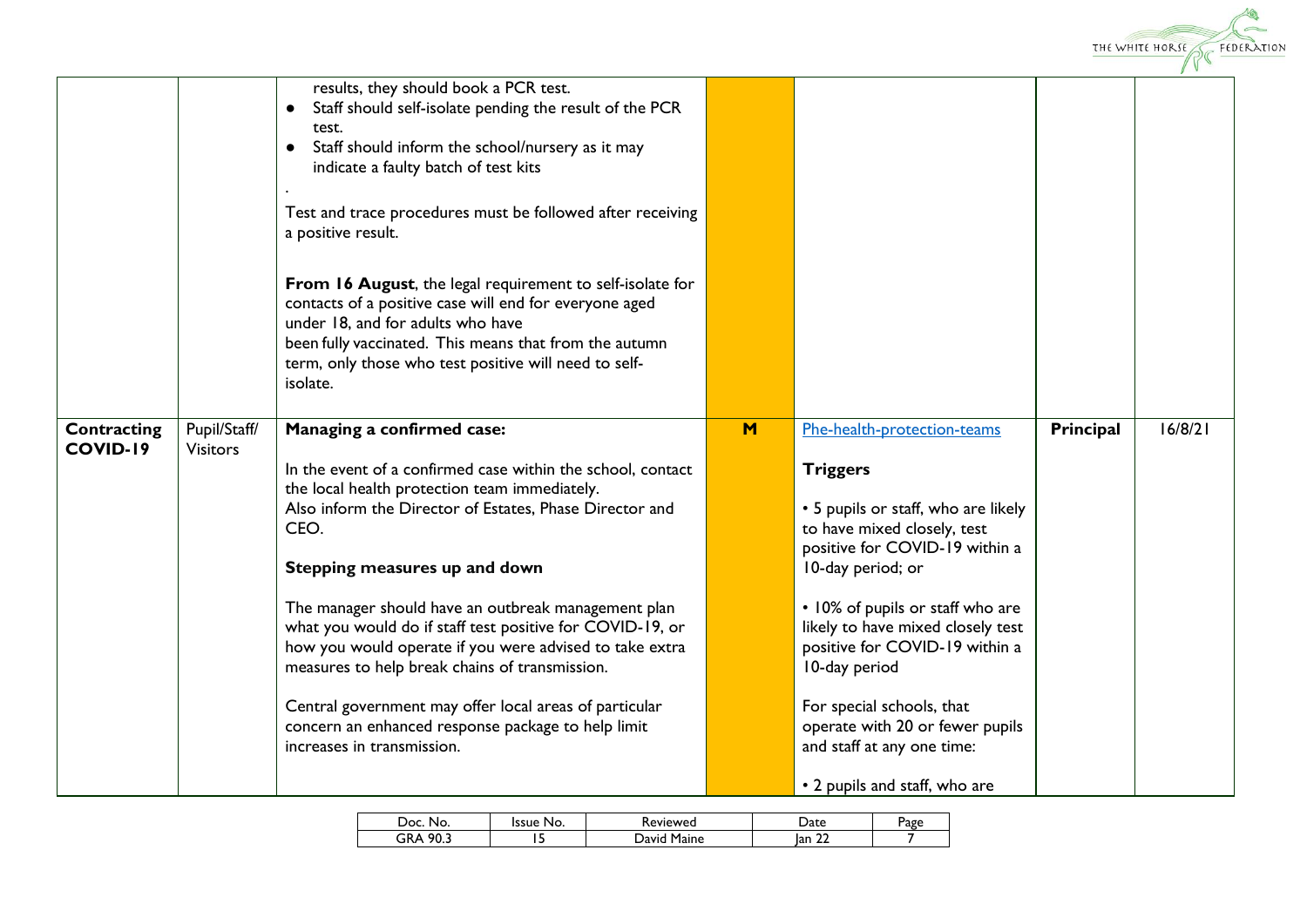

|                         |                                 | results, they should book a PCR test.<br>Staff should self-isolate pending the result of the PCR<br>$\bullet$<br>test.<br>Staff should inform the school/nursery as it may<br>$\bullet$<br>indicate a faulty batch of test kits<br>Test and trace procedures must be followed after receiving<br>a positive result.<br>From 16 August, the legal requirement to self-isolate for<br>contacts of a positive case will end for everyone aged<br>under 18, and for adults who have<br>been fully vaccinated. This means that from the autumn<br>term, only those who test positive will need to self-<br>isolate.                |     |                                                                                                                                                                                                                                                                                                                                                                                                       |           |         |
|-------------------------|---------------------------------|-------------------------------------------------------------------------------------------------------------------------------------------------------------------------------------------------------------------------------------------------------------------------------------------------------------------------------------------------------------------------------------------------------------------------------------------------------------------------------------------------------------------------------------------------------------------------------------------------------------------------------|-----|-------------------------------------------------------------------------------------------------------------------------------------------------------------------------------------------------------------------------------------------------------------------------------------------------------------------------------------------------------------------------------------------------------|-----------|---------|
| Contracting<br>COVID-19 | Pupil/Staff/<br><b>Visitors</b> | Managing a confirmed case:<br>In the event of a confirmed case within the school, contact<br>the local health protection team immediately.<br>Also inform the Director of Estates, Phase Director and<br>CEO.<br>Stepping measures up and down<br>The manager should have an outbreak management plan<br>what you would do if staff test positive for COVID-19, or<br>how you would operate if you were advised to take extra<br>measures to help break chains of transmission.<br>Central government may offer local areas of particular<br>concern an enhanced response package to help limit<br>increases in transmission. | $M$ | Phe-health-protection-teams<br><b>Triggers</b><br>• 5 pupils or staff, who are likely<br>to have mixed closely, test<br>positive for COVID-19 within a<br>10-day period; or<br>• 10% of pupils or staff who are<br>likely to have mixed closely test<br>positive for COVID-19 within a<br>10-day period<br>For special schools, that<br>operate with 20 or fewer pupils<br>and staff at any one time: | Principal | 16/8/21 |
|                         |                                 |                                                                                                                                                                                                                                                                                                                                                                                                                                                                                                                                                                                                                               |     | • 2 pupils and staff, who are                                                                                                                                                                                                                                                                                                                                                                         |           |         |

| ാറ<br>No.                       | ssue<br>No. | 'evieweg       | Date   | - סמר<br>age |
|---------------------------------|-------------|----------------|--------|--------------|
| 90.3<br>GR<br>$\mathbf{v}$<br>- | ٠           | Maine<br>Javir | lan 22 |              |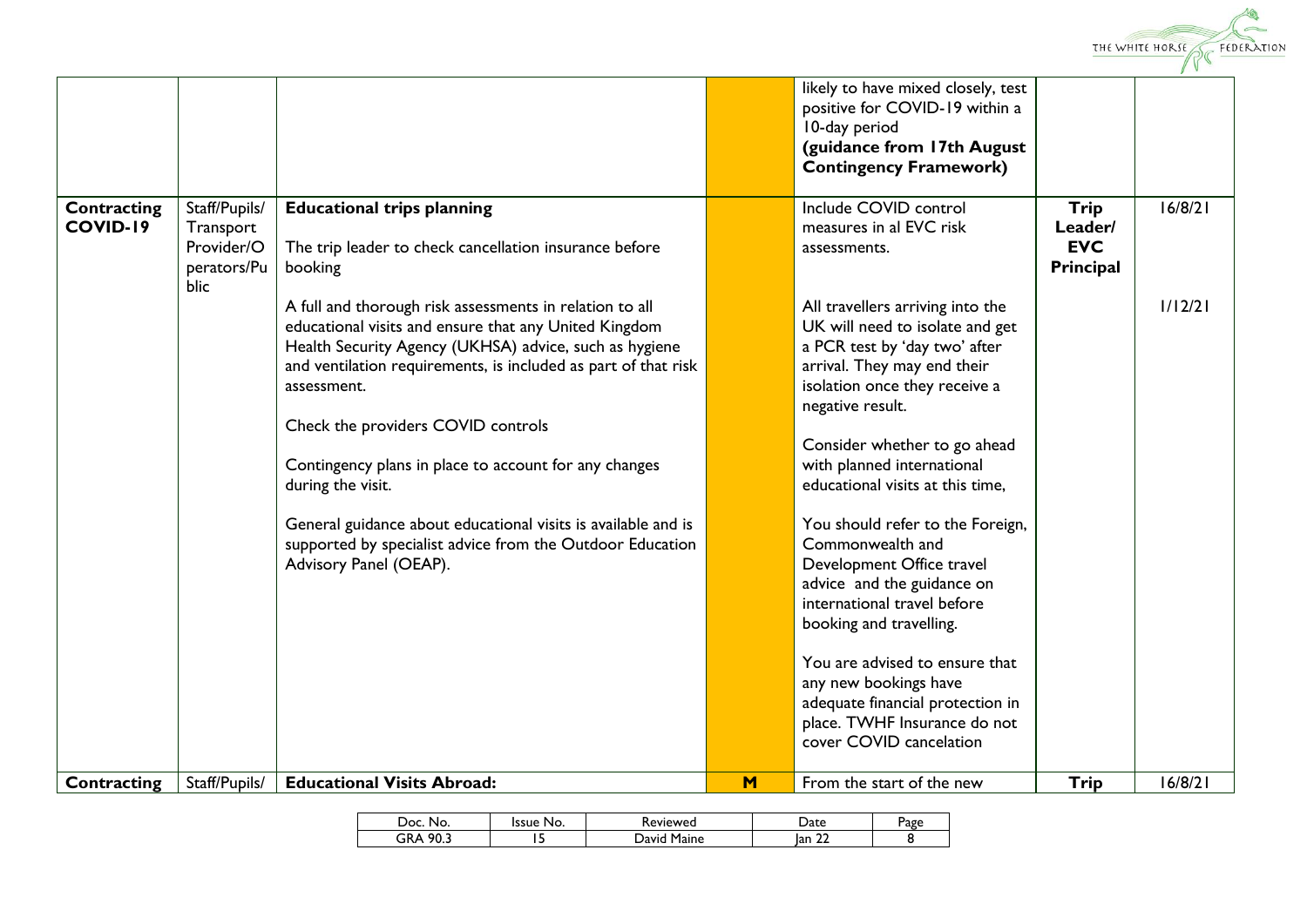

|                 |                     |                                                                |   | likely to have mixed closely, test<br>positive for COVID-19 within a |             |         |
|-----------------|---------------------|----------------------------------------------------------------|---|----------------------------------------------------------------------|-------------|---------|
|                 |                     |                                                                |   | 10-day period                                                        |             |         |
|                 |                     |                                                                |   | (guidance from 17th August                                           |             |         |
|                 |                     |                                                                |   | <b>Contingency Framework)</b>                                        |             |         |
| Contracting     | Staff/Pupils/       | <b>Educational trips planning</b>                              |   | Include COVID control                                                | Trip        | 16/8/21 |
| <b>COVID-19</b> | Transport           |                                                                |   | measures in al EVC risk                                              | Leader/     |         |
|                 | Provider/O          | The trip leader to check cancellation insurance before         |   | assessments.                                                         | <b>EVC</b>  |         |
|                 | perators/Pu<br>blic | booking                                                        |   |                                                                      | Principal   |         |
|                 |                     | A full and thorough risk assessments in relation to all        |   | All travellers arriving into the                                     |             | 1/12/21 |
|                 |                     | educational visits and ensure that any United Kingdom          |   | UK will need to isolate and get                                      |             |         |
|                 |                     | Health Security Agency (UKHSA) advice, such as hygiene         |   | a PCR test by 'day two' after                                        |             |         |
|                 |                     | and ventilation requirements, is included as part of that risk |   | arrival. They may end their                                          |             |         |
|                 |                     | assessment.                                                    |   | isolation once they receive a<br>negative result.                    |             |         |
|                 |                     | Check the providers COVID controls                             |   |                                                                      |             |         |
|                 |                     |                                                                |   | Consider whether to go ahead                                         |             |         |
|                 |                     | Contingency plans in place to account for any changes          |   | with planned international                                           |             |         |
|                 |                     | during the visit.                                              |   | educational visits at this time,                                     |             |         |
|                 |                     | General guidance about educational visits is available and is  |   | You should refer to the Foreign,                                     |             |         |
|                 |                     | supported by specialist advice from the Outdoor Education      |   | Commonwealth and                                                     |             |         |
|                 |                     | Advisory Panel (OEAP).                                         |   | Development Office travel                                            |             |         |
|                 |                     |                                                                |   | advice and the guidance on<br>international travel before            |             |         |
|                 |                     |                                                                |   | booking and travelling.                                              |             |         |
|                 |                     |                                                                |   |                                                                      |             |         |
|                 |                     |                                                                |   | You are advised to ensure that                                       |             |         |
|                 |                     |                                                                |   | any new bookings have                                                |             |         |
|                 |                     |                                                                |   | adequate financial protection in<br>place. TWHF Insurance do not     |             |         |
|                 |                     |                                                                |   | cover COVID cancelation                                              |             |         |
|                 |                     |                                                                |   |                                                                      |             |         |
| Contracting     | Staff/Pupils/       | <b>Educational Visits Abroad:</b>                              | M | From the start of the new                                            | <b>Trip</b> | 16/8/21 |

| . Oc. ۲<br>No. | ssue<br>No. | <b>Reviewed</b> | Date                       | Page |
|----------------|-------------|-----------------|----------------------------|------|
| 90.3<br>GRA    |             | Maine<br>Javid  | $\sim$<br>lan<br><u>__</u> |      |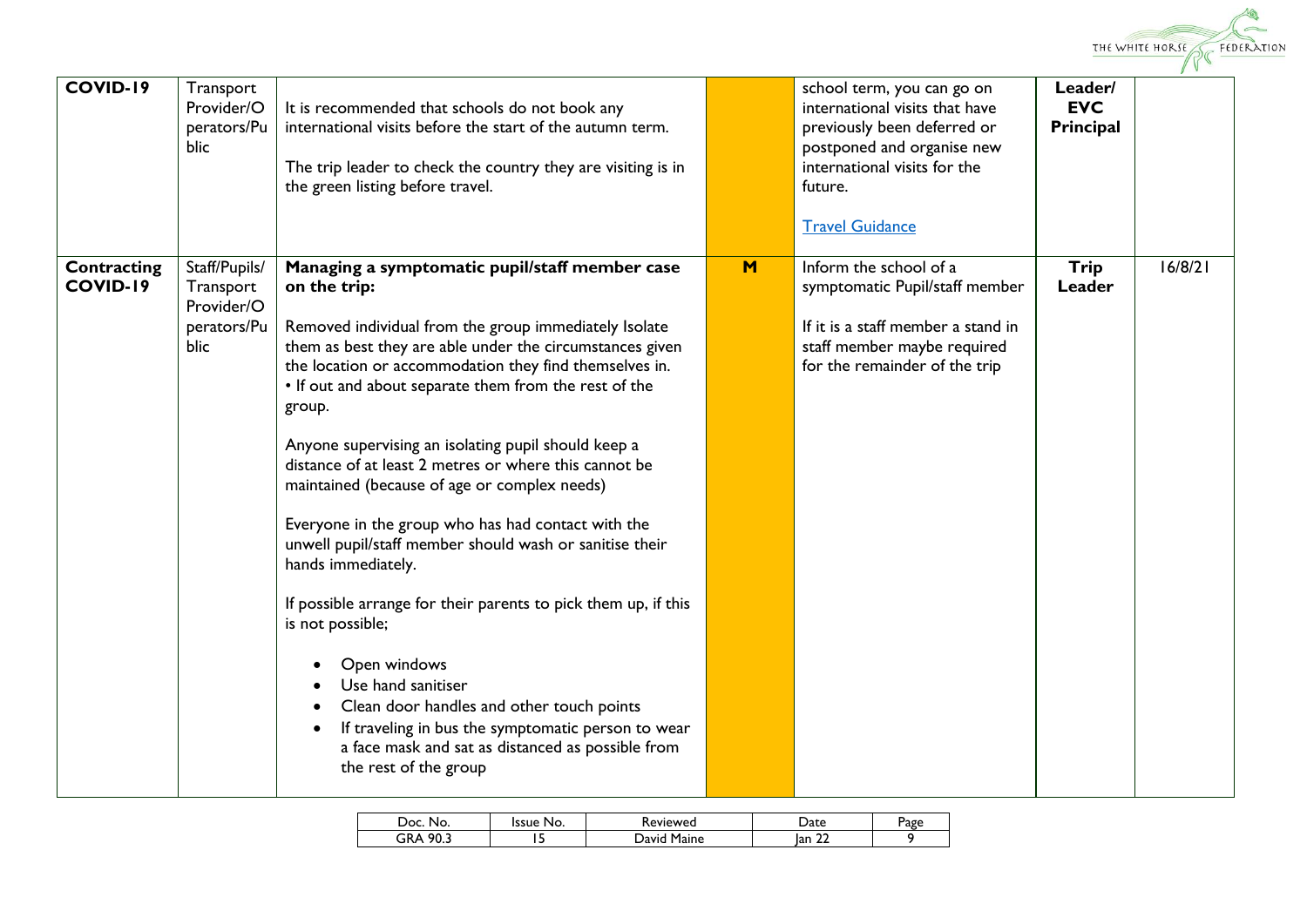

| <b>COVID-19</b>                | Transport<br>Provider/O<br>perators/Pu<br>blic                  | It is recommended that schools do not book any<br>international visits before the start of the autumn term.<br>The trip leader to check the country they are visiting is in<br>the green listing before travel.                                                                                                                                                                                                                                                                                                                                                                                                                                                                                                                                                                                                                                                                                                                      |   | school term, you can go on<br>international visits that have<br>previously been deferred or<br>postponed and organise new<br>international visits for the<br>future.<br><b>Travel Guidance</b> | Leader/<br><b>EVC</b><br>Principal |         |
|--------------------------------|-----------------------------------------------------------------|--------------------------------------------------------------------------------------------------------------------------------------------------------------------------------------------------------------------------------------------------------------------------------------------------------------------------------------------------------------------------------------------------------------------------------------------------------------------------------------------------------------------------------------------------------------------------------------------------------------------------------------------------------------------------------------------------------------------------------------------------------------------------------------------------------------------------------------------------------------------------------------------------------------------------------------|---|------------------------------------------------------------------------------------------------------------------------------------------------------------------------------------------------|------------------------------------|---------|
| Contracting<br><b>COVID-19</b> | Staff/Pupils/<br>Transport<br>Provider/O<br>perators/Pu<br>blic | Managing a symptomatic pupil/staff member case<br>on the trip:<br>Removed individual from the group immediately Isolate<br>them as best they are able under the circumstances given<br>the location or accommodation they find themselves in.<br>• If out and about separate them from the rest of the<br>group.<br>Anyone supervising an isolating pupil should keep a<br>distance of at least 2 metres or where this cannot be<br>maintained (because of age or complex needs)<br>Everyone in the group who has had contact with the<br>unwell pupil/staff member should wash or sanitise their<br>hands immediately.<br>If possible arrange for their parents to pick them up, if this<br>is not possible;<br>Open windows<br>Use hand sanitiser<br>Clean door handles and other touch points<br>If traveling in bus the symptomatic person to wear<br>a face mask and sat as distanced as possible from<br>the rest of the group | M | Inform the school of a<br>symptomatic Pupil/staff member<br>If it is a staff member a stand in<br>staff member maybe required<br>for the remainder of the trip                                 | Trip<br>Leader                     | 16/8/21 |

| )oc<br>No.  | Issue<br>No. | eviewed:       | $hat{p}$<br>a ce    | Page |
|-------------|--------------|----------------|---------------------|------|
| 90.1<br>GRA |              | Maine<br>Javin | $\sim$<br>lan<br>-- |      |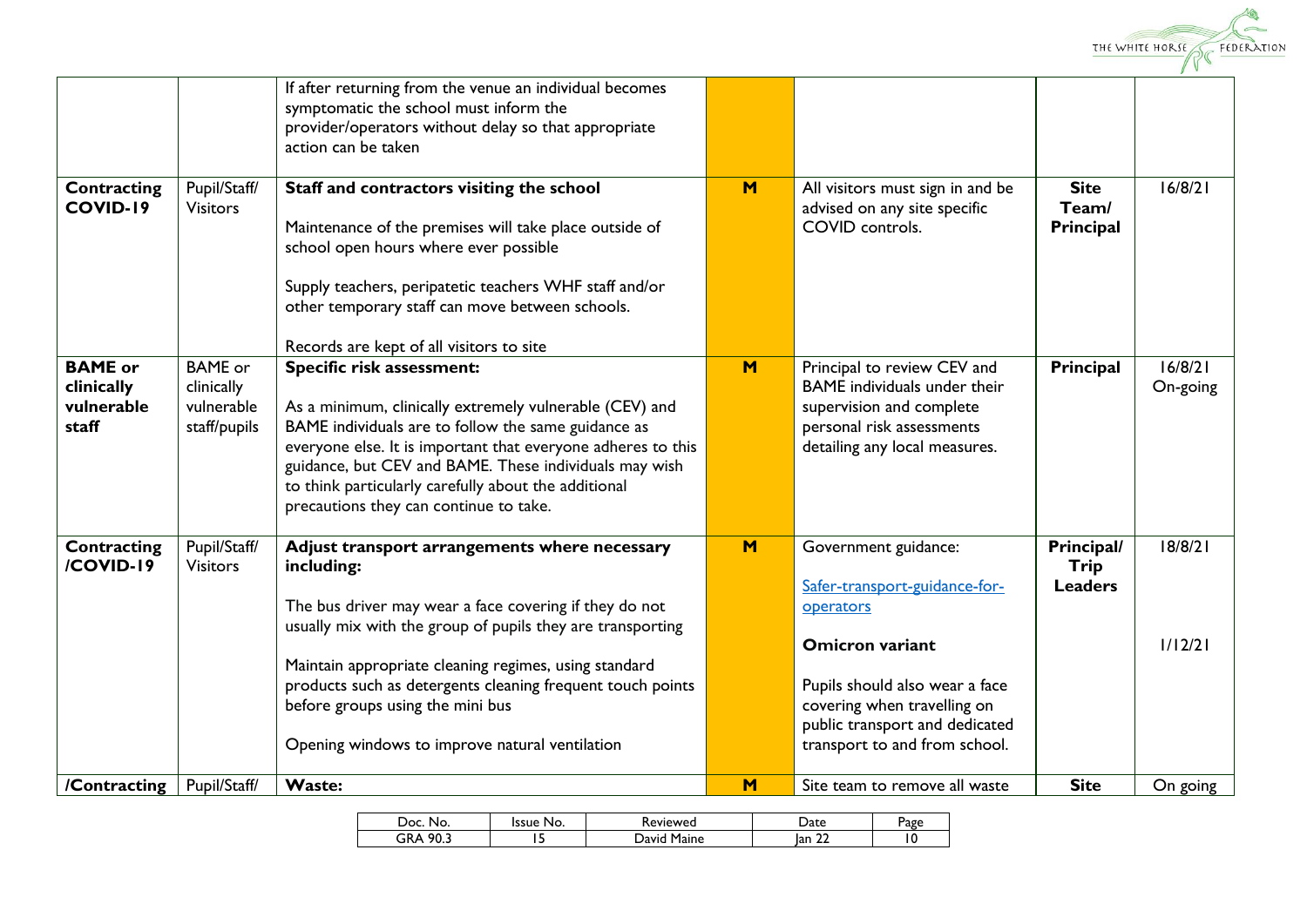

|                                                     |                                                            | If after returning from the venue an individual becomes<br>symptomatic the school must inform the<br>provider/operators without delay so that appropriate                                                                                                                                                                                                                                                           |   |                                                                                                                                                                                                                                  |                                      |                     |
|-----------------------------------------------------|------------------------------------------------------------|---------------------------------------------------------------------------------------------------------------------------------------------------------------------------------------------------------------------------------------------------------------------------------------------------------------------------------------------------------------------------------------------------------------------|---|----------------------------------------------------------------------------------------------------------------------------------------------------------------------------------------------------------------------------------|--------------------------------------|---------------------|
|                                                     |                                                            | action can be taken                                                                                                                                                                                                                                                                                                                                                                                                 |   |                                                                                                                                                                                                                                  |                                      |                     |
| <b>Contracting</b><br><b>COVID-19</b>               | Pupil/Staff/<br><b>Visitors</b>                            | Staff and contractors visiting the school<br>Maintenance of the premises will take place outside of<br>school open hours where ever possible<br>Supply teachers, peripatetic teachers WHF staff and/or<br>other temporary staff can move between schools.                                                                                                                                                           | M | All visitors must sign in and be<br>advised on any site specific<br>COVID controls.                                                                                                                                              | <b>Site</b><br>Team/<br>Principal    | 16/8/21             |
| <b>BAME</b> or<br>clinically<br>vulnerable<br>staff | <b>BAME</b> or<br>clinically<br>vulnerable<br>staff/pupils | Records are kept of all visitors to site<br>Specific risk assessment:<br>As a minimum, clinically extremely vulnerable (CEV) and<br>BAME individuals are to follow the same guidance as<br>everyone else. It is important that everyone adheres to this<br>guidance, but CEV and BAME. These individuals may wish<br>to think particularly carefully about the additional<br>precautions they can continue to take. | M | Principal to review CEV and<br>BAME individuals under their<br>supervision and complete<br>personal risk assessments<br>detailing any local measures.                                                                            | Principal                            | 16/8/21<br>On-going |
| Contracting<br>/COVID-19                            | Pupil/Staff/<br><b>Visitors</b>                            | Adjust transport arrangements where necessary<br>including:<br>The bus driver may wear a face covering if they do not<br>usually mix with the group of pupils they are transporting<br>Maintain appropriate cleaning regimes, using standard<br>products such as detergents cleaning frequent touch points<br>before groups using the mini bus<br>Opening windows to improve natural ventilation                    | M | Government guidance:<br>Safer-transport-guidance-for-<br>operators<br><b>Omicron variant</b><br>Pupils should also wear a face<br>covering when travelling on<br>public transport and dedicated<br>transport to and from school. | Principal/<br>Trip<br><b>Leaders</b> | 18/8/21<br>1/12/21  |
| /Contracting                                        | Pupil/Staff/                                               | <b>Waste:</b>                                                                                                                                                                                                                                                                                                                                                                                                       | M | Site team to remove all waste                                                                                                                                                                                                    | <b>Site</b>                          | On going            |

| Doc.<br>No.               | Issue<br>No. | <b>Reviewed</b> | ate                 | age |
|---------------------------|--------------|-----------------|---------------------|-----|
| ≎ ∩9<br>∩n ∧<br>JK⊬<br>◡. |              | Maine<br>Javir. | $\sim$<br>lan<br>-- | ١U  |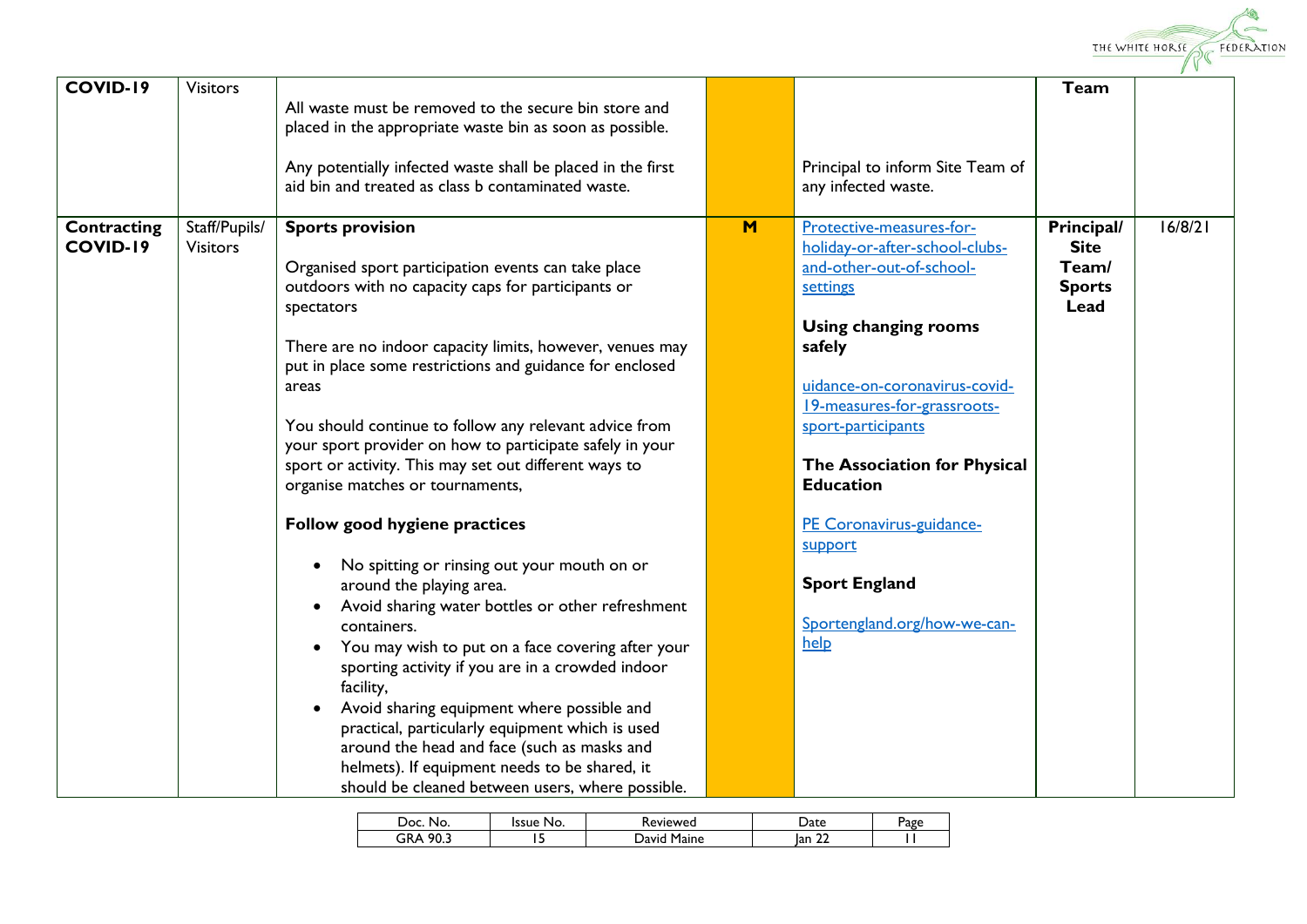

| <b>COVID-19</b>                | <b>Visitors</b>                  | All waste must be removed to the secure bin store and<br>placed in the appropriate waste bin as soon as possible.<br>Any potentially infected waste shall be placed in the first<br>aid bin and treated as class b contaminated waste.                                                                                                                                                                                                                                                                                                                                                                                                                                                                                                                                                                                                                                                                                                                                                                                                                                                          |   | Principal to inform Site Team of<br>any infected waste.                                                                                                                                                                                                                                                                                                                                      | Team                                                        |         |
|--------------------------------|----------------------------------|-------------------------------------------------------------------------------------------------------------------------------------------------------------------------------------------------------------------------------------------------------------------------------------------------------------------------------------------------------------------------------------------------------------------------------------------------------------------------------------------------------------------------------------------------------------------------------------------------------------------------------------------------------------------------------------------------------------------------------------------------------------------------------------------------------------------------------------------------------------------------------------------------------------------------------------------------------------------------------------------------------------------------------------------------------------------------------------------------|---|----------------------------------------------------------------------------------------------------------------------------------------------------------------------------------------------------------------------------------------------------------------------------------------------------------------------------------------------------------------------------------------------|-------------------------------------------------------------|---------|
| Contracting<br><b>COVID-19</b> | Staff/Pupils/<br><b>Visitors</b> | <b>Sports provision</b><br>Organised sport participation events can take place<br>outdoors with no capacity caps for participants or<br>spectators<br>There are no indoor capacity limits, however, venues may<br>put in place some restrictions and guidance for enclosed<br>areas<br>You should continue to follow any relevant advice from<br>your sport provider on how to participate safely in your<br>sport or activity. This may set out different ways to<br>organise matches or tournaments,<br>Follow good hygiene practices<br>No spitting or rinsing out your mouth on or<br>$\bullet$<br>around the playing area.<br>Avoid sharing water bottles or other refreshment<br>٠<br>containers.<br>You may wish to put on a face covering after your<br>$\bullet$<br>sporting activity if you are in a crowded indoor<br>facility,<br>Avoid sharing equipment where possible and<br>practical, particularly equipment which is used<br>around the head and face (such as masks and<br>helmets). If equipment needs to be shared, it<br>should be cleaned between users, where possible. | M | Protective-measures-for-<br>holiday-or-after-school-clubs-<br>and-other-out-of-school-<br>settings<br><b>Using changing rooms</b><br>safely<br>uidance-on-coronavirus-covid-<br>19-measures-for-grassroots-<br>sport-participants<br>The Association for Physical<br><b>Education</b><br>PE Coronavirus-guidance-<br>support<br><b>Sport England</b><br>Sportengland.org/how-we-can-<br>help | Principal/<br><b>Site</b><br>Team/<br><b>Sports</b><br>Lead | 16/8/21 |

| oc<br>No.   | Issue<br>No. | Keviewed         | ate                 | טγ¤e |
|-------------|--------------|------------------|---------------------|------|
| 90.3<br>GRА |              | ` Maine<br>Javid | $\sim$<br>lan<br>∸∸ |      |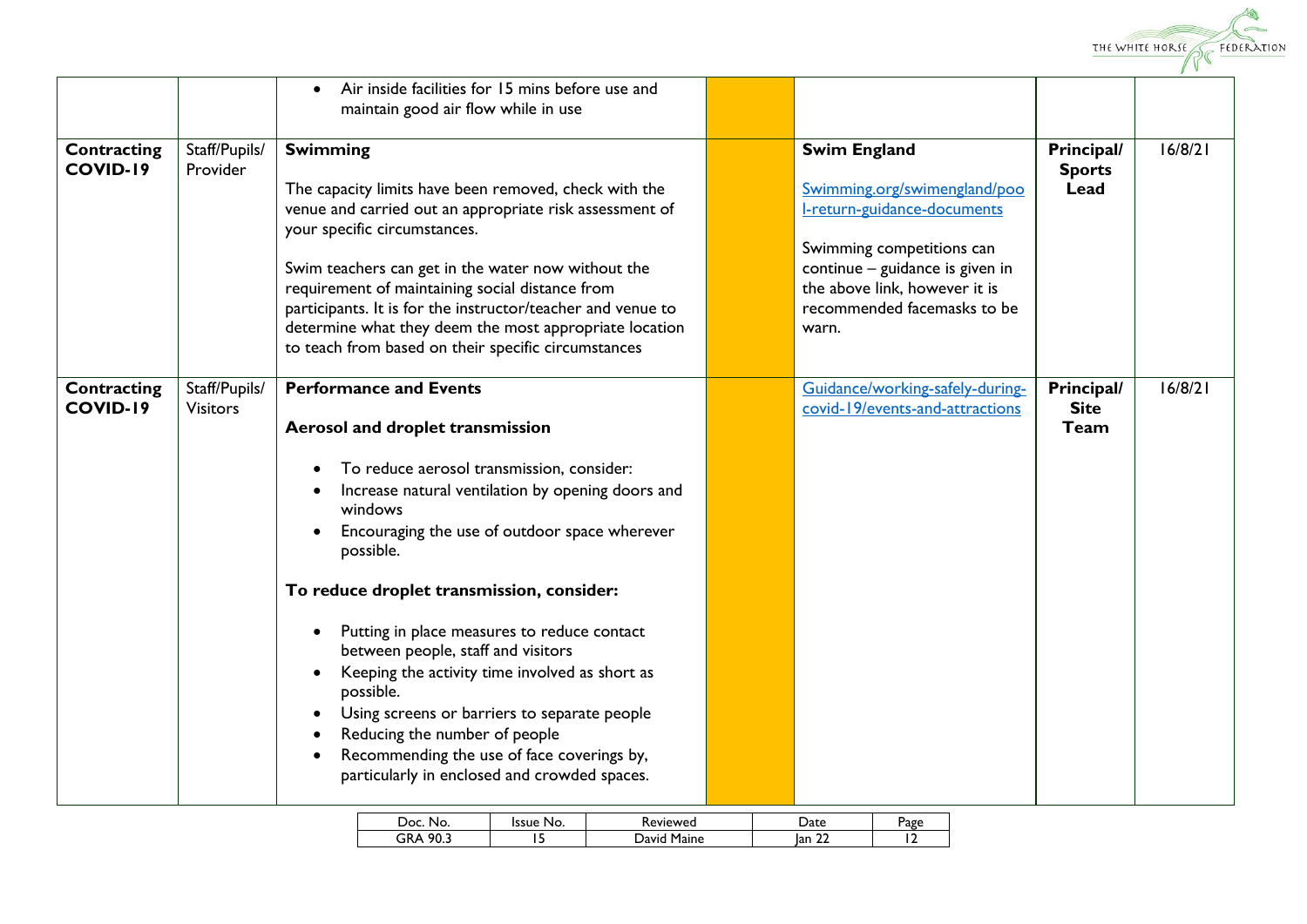

|                    |                 | Air inside facilities for 15 mins before use and<br>$\bullet$                                                  |                                                                  |               |         |
|--------------------|-----------------|----------------------------------------------------------------------------------------------------------------|------------------------------------------------------------------|---------------|---------|
|                    |                 | maintain good air flow while in use                                                                            |                                                                  |               |         |
|                    |                 |                                                                                                                |                                                                  |               |         |
| Contracting        | Staff/Pupils/   | <b>Swimming</b>                                                                                                | <b>Swim England</b>                                              | Principal/    | 16/8/21 |
| <b>COVID-19</b>    | Provider        |                                                                                                                |                                                                  | <b>Sports</b> |         |
|                    |                 | The capacity limits have been removed, check with the                                                          | Swimming.org/swimengland/poo                                     | Lead          |         |
|                    |                 | venue and carried out an appropriate risk assessment of                                                        | I-return-guidance-documents                                      |               |         |
|                    |                 | your specific circumstances.                                                                                   |                                                                  |               |         |
|                    |                 |                                                                                                                | Swimming competitions can                                        |               |         |
|                    |                 | Swim teachers can get in the water now without the                                                             | continue - guidance is given in<br>the above link, however it is |               |         |
|                    |                 | requirement of maintaining social distance from<br>participants. It is for the instructor/teacher and venue to | recommended facemasks to be                                      |               |         |
|                    |                 | determine what they deem the most appropriate location                                                         | warn.                                                            |               |         |
|                    |                 | to teach from based on their specific circumstances                                                            |                                                                  |               |         |
|                    |                 |                                                                                                                |                                                                  |               |         |
| <b>Contracting</b> | Staff/Pupils/   | <b>Performance and Events</b>                                                                                  | Guidance/working-safely-during-                                  | Principal/    | 16/8/21 |
| <b>COVID-19</b>    | <b>Visitors</b> |                                                                                                                | covid-19/events-and-attractions                                  | <b>Site</b>   |         |
|                    |                 | <b>Aerosol and droplet transmission</b>                                                                        |                                                                  | Team          |         |
|                    |                 |                                                                                                                |                                                                  |               |         |
|                    |                 | To reduce aerosol transmission, consider:                                                                      |                                                                  |               |         |
|                    |                 | Increase natural ventilation by opening doors and                                                              |                                                                  |               |         |
|                    |                 | windows                                                                                                        |                                                                  |               |         |
|                    |                 | Encouraging the use of outdoor space wherever                                                                  |                                                                  |               |         |
|                    |                 | possible.                                                                                                      |                                                                  |               |         |
|                    |                 |                                                                                                                |                                                                  |               |         |
|                    |                 | To reduce droplet transmission, consider:                                                                      |                                                                  |               |         |
|                    |                 |                                                                                                                |                                                                  |               |         |
|                    |                 | Putting in place measures to reduce contact<br>$\bullet$                                                       |                                                                  |               |         |
|                    |                 | between people, staff and visitors                                                                             |                                                                  |               |         |
|                    |                 | Keeping the activity time involved as short as                                                                 |                                                                  |               |         |
|                    |                 | possible.                                                                                                      |                                                                  |               |         |
|                    |                 | Using screens or barriers to separate people                                                                   |                                                                  |               |         |
|                    |                 | Reducing the number of people                                                                                  |                                                                  |               |         |
|                    |                 | Recommending the use of face coverings by,                                                                     |                                                                  |               |         |
|                    |                 | particularly in enclosed and crowded spaces.                                                                   |                                                                  |               |         |
|                    |                 |                                                                                                                |                                                                  |               |         |

| ാറ<br>NO. | ssue<br>No. | 'eviewed        | <b>Jate</b>      | Page |
|-----------|-------------|-----------------|------------------|------|
| ne.<br>٦R |             | Maine<br>Javir. | $\sim$<br>lan 22 |      |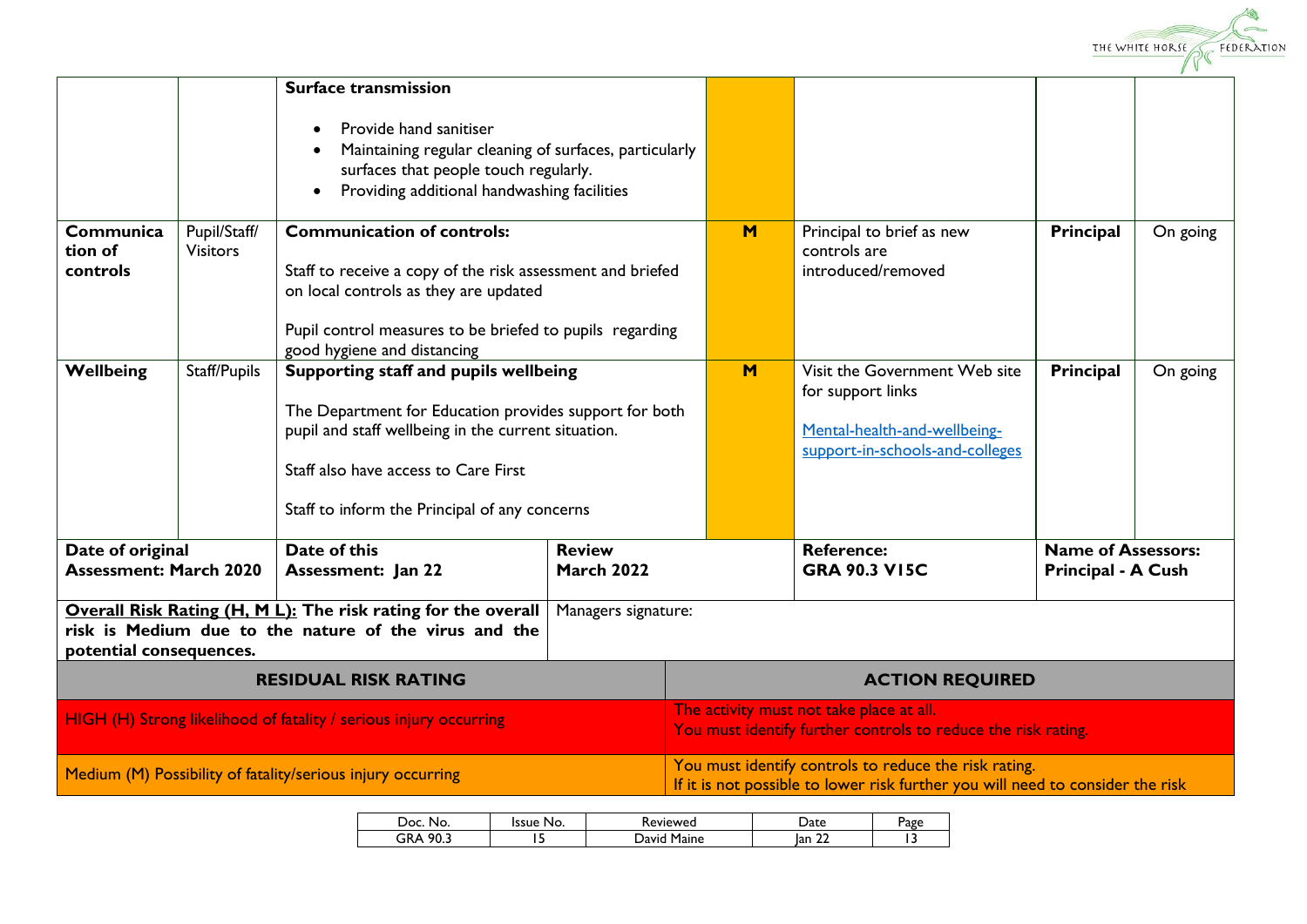

|                                                                                                                                                   |                                 | <b>Surface transmission</b><br>Provide hand sanitiser<br>Maintaining regular cleaning of surfaces, particularly<br>surfaces that people touch regularly.                                                                                        |                                    |                        |                                                                                                                                         |                                                        |          |
|---------------------------------------------------------------------------------------------------------------------------------------------------|---------------------------------|-------------------------------------------------------------------------------------------------------------------------------------------------------------------------------------------------------------------------------------------------|------------------------------------|------------------------|-----------------------------------------------------------------------------------------------------------------------------------------|--------------------------------------------------------|----------|
|                                                                                                                                                   |                                 | Providing additional handwashing facilities                                                                                                                                                                                                     |                                    |                        |                                                                                                                                         |                                                        |          |
| Communica<br>tion of<br>controls                                                                                                                  | Pupil/Staff/<br><b>Visitors</b> | <b>Communication of controls:</b><br>Staff to receive a copy of the risk assessment and briefed<br>on local controls as they are updated<br>Pupil control measures to be briefed to pupils regarding<br>good hygiene and distancing             |                                    | M                      | Principal to brief as new<br>controls are<br>introduced/removed                                                                         | Principal                                              | On going |
| Wellbeing                                                                                                                                         | Staff/Pupils                    | Supporting staff and pupils wellbeing<br>The Department for Education provides support for both<br>pupil and staff wellbeing in the current situation.<br>Staff also have access to Care First<br>Staff to inform the Principal of any concerns |                                    | M                      | Visit the Government Web site<br>for support links<br>Mental-health-and-wellbeing-<br>support-in-schools-and-colleges                   | Principal                                              | On going |
| Date of original<br><b>Assessment: March 2020</b>                                                                                                 |                                 | Date of this<br><b>Assessment: Jan 22</b>                                                                                                                                                                                                       | <b>Review</b><br><b>March 2022</b> |                        | <b>Reference:</b><br><b>GRA 90.3 VI5C</b>                                                                                               | <b>Name of Assessors:</b><br><b>Principal - A Cush</b> |          |
| Overall Risk Rating (H, M L): The risk rating for the overall<br>risk is Medium due to the nature of the virus and the<br>potential consequences. |                                 | Managers signature:                                                                                                                                                                                                                             |                                    |                        |                                                                                                                                         |                                                        |          |
| <b>RESIDUAL RISK RATING</b>                                                                                                                       |                                 |                                                                                                                                                                                                                                                 |                                    | <b>ACTION REQUIRED</b> |                                                                                                                                         |                                                        |          |
| HIGH (H) Strong likelihood of fatality / serious injury occurring                                                                                 |                                 |                                                                                                                                                                                                                                                 |                                    |                        | The activity must not take place at all.<br>You must identify further controls to reduce the risk rating.                               |                                                        |          |
|                                                                                                                                                   |                                 | Medium (M) Possibility of fatality/serious injury occurring                                                                                                                                                                                     |                                    |                        | You must identify controls to reduce the risk rating.<br>If it is not possible to lower risk further you will need to consider the risk |                                                        |          |

| Doc.<br>No. | ssue<br>No. | <b>Reviewed</b> | )ate                | Page |
|-------------|-------------|-----------------|---------------------|------|
| 90.3<br>GRA |             | Maine<br>avio   | $\sim$<br>lan<br>∸∸ |      |